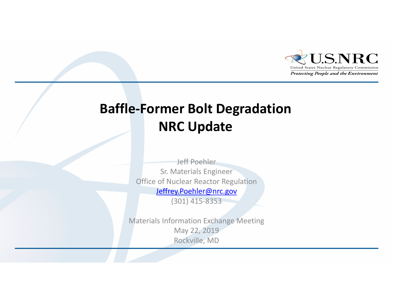

#### **Baffle-Former Bolt Degradation NRC Update**

Jeff PoehlerSr. Materials Engineer Office of Nuclear Reactor Regulation Jeffrey.Poehler@nrc.gov (301) 415-8353

Materials Information Exchange Meeting May 22, 2019 Rockville, MD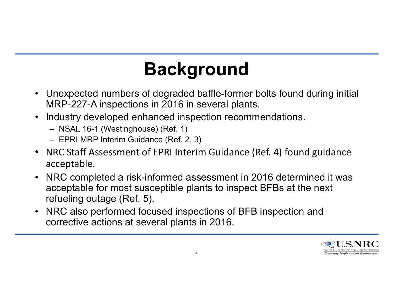# **Background**

- Unexpected numbers of degraded baffle-former bolts found during initial MRP-227-A inspections in 2016 in several plants.
- $\bullet$  Industry developed enhanced inspection recommendations.
	- NSAL 16-1 (Westinghouse) (Ref. 1)
	- EPRI MRP Interim Guidance (Ref. 2, 3)
- NRC Staff Assessment of EPRI Interim Guidance (Ref. 4) found guidance acceptable.
- • NRC completed a risk-informed assessment in 2016 determined it was acceptable for most susceptible plants to inspect BFBs at the next refueling outage (Ref. 5).
- NRC also performed focused inspections of BFB inspection and corrective actions at several plants in 2016.

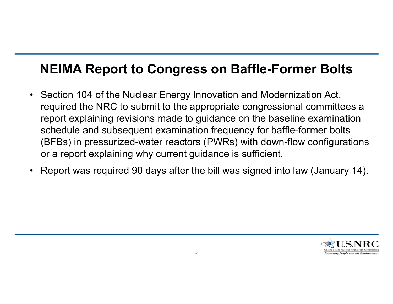- Section 104 of the Nuclear Energy Innovation and Modernization Act, required the NRC to submit to the appropriate congressional committees a report explaining revisions made to guidance on the baseline examination schedule and subsequent examination frequency for baffle-former bolts (BFBs) in pressurized-water reactors (PWRs) with down-flow configurations or a report explaining why current guidance is sufficient.
- •Report was required 90 days after the bill was signed into law (January 14).

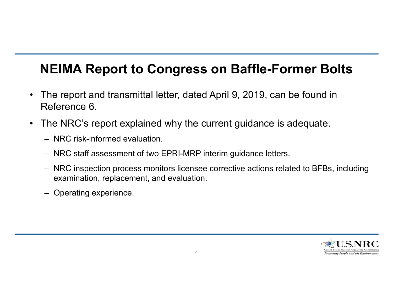- • The report and transmittal letter, dated April 9, 2019, can be found in Reference 6.
- $\bullet$  The NRC's report explained why the current guidance is adequate.
	- NRC risk-informed evaluation.
	- NRC staff assessment of two EPRI-MRP interim guidance letters.
	- NRC inspection process monitors licensee corrective actions related to BFBs, including examination, replacement, and evaluation.
	- Operating experience.

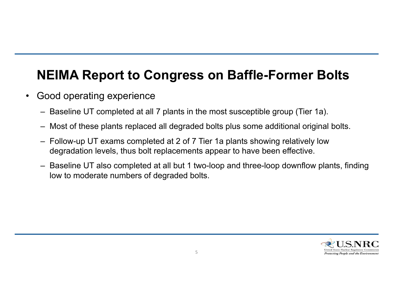- • Good operating experience
	- Baseline UT completed at all 7 plants in the most susceptible group (Tier 1a).
	- Most of these plants replaced all degraded bolts plus some additional original bolts.
	- Follow-up UT exams completed at 2 of 7 Tier 1a plants showing relatively low degradation levels, thus bolt replacements appear to have been effective.
	- Baseline UT also completed at all but 1 two-loop and three-loop downflow plants, finding low to moderate numbers of degraded bolts.

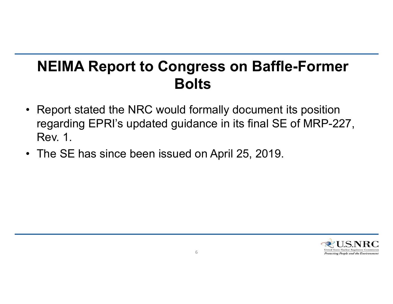- Report stated the NRC would formally document its position regarding EPRI's updated guidance in its final SE of MRP-227, Rev. 1.
- The SE has since been issued on April 25, 2019.

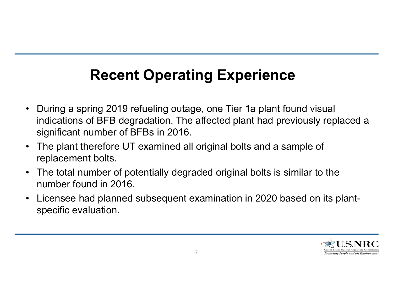### **Recent Operating Experience**

- • During a spring 2019 refueling outage, one Tier 1a plant found visual indications of BFB degradation. The affected plant had previously replaced a significant number of BFBs in 2016.
- The plant therefore UT examined all original bolts and a sample of replacement bolts.
- The total number of potentially degraded original bolts is similar to the number found in 2016.
- Licensee had planned subsequent examination in 2020 based on its plantspecific evaluation.

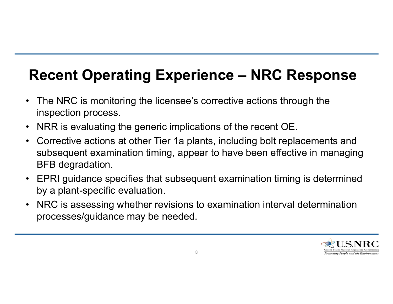### **Recent Operating Experience – NRC Response**

- The NRC is monitoring the licensee's corrective actions through the inspection process.
- NRR is evaluating the generic implications of the recent OE.
- Corrective actions at other Tier 1a plants, including bolt replacements and subsequent examination timing, appear to have been effective in managing BFB degradation.
- EPRI guidance specifies that subsequent examination timing is determined by a plant-specific evaluation.
- • NRC is assessing whether revisions to examination interval determination processes/guidance may be needed.

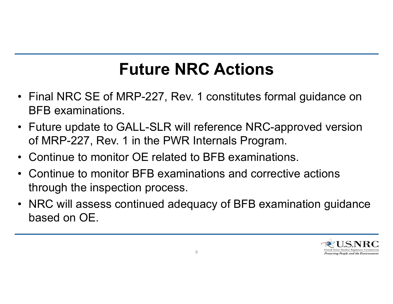## **Future NRC Actions**

- Final NRC SE of MRP-227, Rev. 1 constitutes formal guidance on BFB examinations.
- Future update to GALL-SLR will reference NRC-approved version of MRP-227, Rev. 1 in the PWR Internals Program.
- Continue to monitor OE related to BFB examinations.
- • Continue to monitor BFB examinations and corrective actions through the inspection process.
- NRC will assess continued adequacy of BFB examination guidance based on OE.